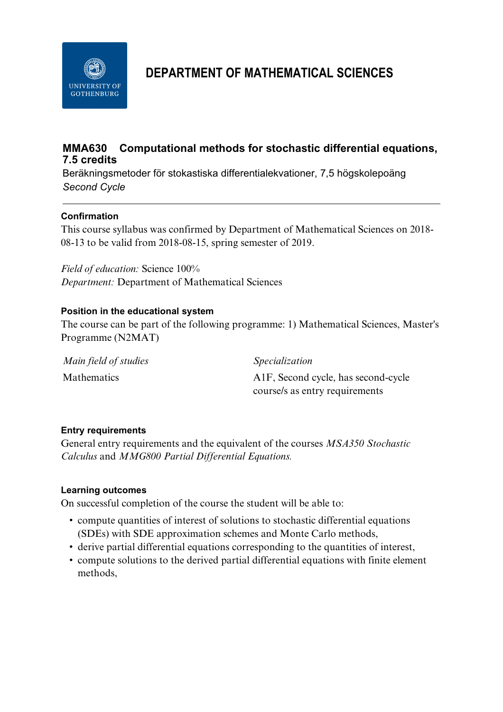

# **DEPARTMENT OF MATHEMATICAL SCIENCES**

## **MMA630 Computational methods for stochastic differential equations, 7.5 credits**

Beräkningsmetoder för stokastiska differentialekvationer, 7,5 högskolepoäng *Second Cycle*

## **Confirmation**

This course syllabus was confirmed by Department of Mathematical Sciences on 2018- 08-13 to be valid from 2018-08-15, spring semester of 2019.

*Field of education:* Science 100% *Department:* Department of Mathematical Sciences

## **Position in the educational system**

The course can be part of the following programme: 1) Mathematical Sciences, Master's Programme (N2MAT)

| Main field of studies | <i>Specialization</i>                            |
|-----------------------|--------------------------------------------------|
| Mathematics           | A <sub>1</sub> F, Second cycle, has second-cycle |
|                       | course/s as entry requirements                   |

## **Entry requirements**

General entry requirements and the equivalent of the courses *MSA350 Stochastic Calculus* and *MMG800 Partial Differential Equations.* 

## **Learning outcomes**

On successful completion of the course the student will be able to:

- compute quantities of interest of solutions to stochastic differential equations (SDEs) with SDE approximation schemes and Monte Carlo methods,
- derive partial differential equations corresponding to the quantities of interest,
- compute solutions to the derived partial differential equations with finite element methods,